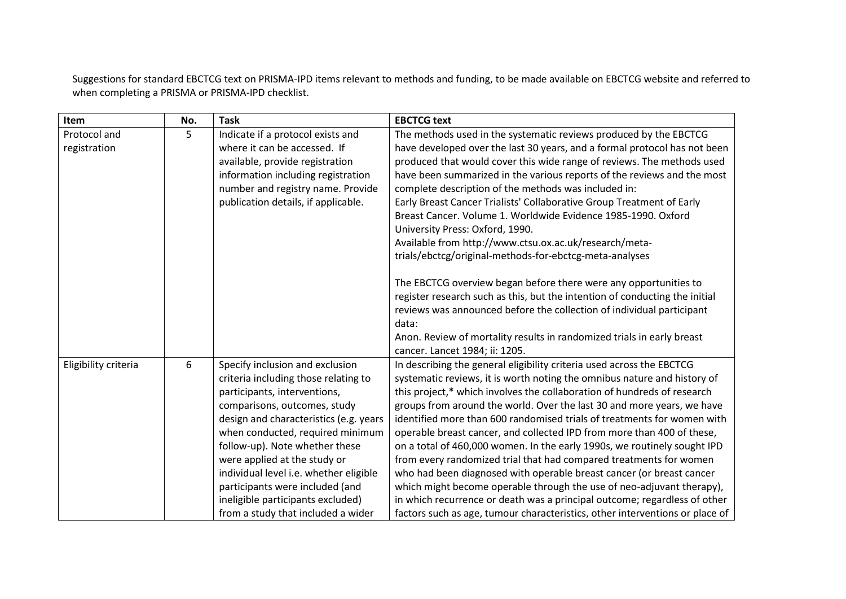Suggestions for standard EBCTCG text on PRISMA-IPD items relevant to methods and funding, to be made available on EBCTCG website and referred to when completing a PRISMA or PRISMA-IPD checklist.

| Item                 | No. | <b>Task</b>                            | <b>EBCTCG text</b>                                                           |
|----------------------|-----|----------------------------------------|------------------------------------------------------------------------------|
| Protocol and         | 5   | Indicate if a protocol exists and      | The methods used in the systematic reviews produced by the EBCTCG            |
| registration         |     | where it can be accessed. If           | have developed over the last 30 years, and a formal protocol has not been    |
|                      |     | available, provide registration        | produced that would cover this wide range of reviews. The methods used       |
|                      |     | information including registration     | have been summarized in the various reports of the reviews and the most      |
|                      |     | number and registry name. Provide      | complete description of the methods was included in:                         |
|                      |     | publication details, if applicable.    | Early Breast Cancer Trialists' Collaborative Group Treatment of Early        |
|                      |     |                                        | Breast Cancer. Volume 1. Worldwide Evidence 1985-1990. Oxford                |
|                      |     |                                        | University Press: Oxford, 1990.                                              |
|                      |     |                                        | Available from http://www.ctsu.ox.ac.uk/research/meta-                       |
|                      |     |                                        | trials/ebctcg/original-methods-for-ebctcg-meta-analyses                      |
|                      |     |                                        | The EBCTCG overview began before there were any opportunities to             |
|                      |     |                                        | register research such as this, but the intention of conducting the initial  |
|                      |     |                                        | reviews was announced before the collection of individual participant        |
|                      |     |                                        | data:                                                                        |
|                      |     |                                        | Anon. Review of mortality results in randomized trials in early breast       |
|                      |     |                                        | cancer. Lancet 1984; ii: 1205.                                               |
| Eligibility criteria | 6   | Specify inclusion and exclusion        | In describing the general eligibility criteria used across the EBCTCG        |
|                      |     | criteria including those relating to   | systematic reviews, it is worth noting the omnibus nature and history of     |
|                      |     | participants, interventions,           | this project,* which involves the collaboration of hundreds of research      |
|                      |     | comparisons, outcomes, study           | groups from around the world. Over the last 30 and more years, we have       |
|                      |     | design and characteristics (e.g. years | identified more than 600 randomised trials of treatments for women with      |
|                      |     | when conducted, required minimum       | operable breast cancer, and collected IPD from more than 400 of these,       |
|                      |     | follow-up). Note whether these         | on a total of 460,000 women. In the early 1990s, we routinely sought IPD     |
|                      |     | were applied at the study or           | from every randomized trial that had compared treatments for women           |
|                      |     | individual level i.e. whether eligible | who had been diagnosed with operable breast cancer (or breast cancer         |
|                      |     | participants were included (and        | which might become operable through the use of neo-adjuvant therapy),        |
|                      |     | ineligible participants excluded)      | in which recurrence or death was a principal outcome; regardless of other    |
|                      |     | from a study that included a wider     | factors such as age, tumour characteristics, other interventions or place of |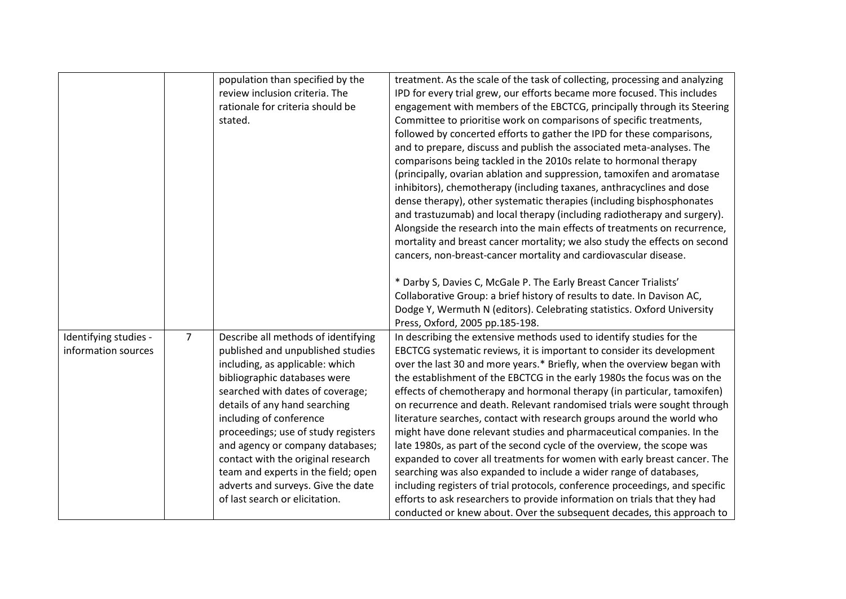|                       |                | population than specified by the<br>review inclusion criteria. The   | treatment. As the scale of the task of collecting, processing and analyzing<br>IPD for every trial grew, our efforts became more focused. This includes |
|-----------------------|----------------|----------------------------------------------------------------------|---------------------------------------------------------------------------------------------------------------------------------------------------------|
|                       |                | rationale for criteria should be                                     | engagement with members of the EBCTCG, principally through its Steering                                                                                 |
|                       |                | stated.                                                              | Committee to prioritise work on comparisons of specific treatments,                                                                                     |
|                       |                |                                                                      | followed by concerted efforts to gather the IPD for these comparisons,                                                                                  |
|                       |                |                                                                      | and to prepare, discuss and publish the associated meta-analyses. The                                                                                   |
|                       |                |                                                                      | comparisons being tackled in the 2010s relate to hormonal therapy                                                                                       |
|                       |                |                                                                      | (principally, ovarian ablation and suppression, tamoxifen and aromatase<br>inhibitors), chemotherapy (including taxanes, anthracyclines and dose        |
|                       |                |                                                                      | dense therapy), other systematic therapies (including bisphosphonates                                                                                   |
|                       |                |                                                                      | and trastuzumab) and local therapy (including radiotherapy and surgery).                                                                                |
|                       |                |                                                                      | Alongside the research into the main effects of treatments on recurrence,                                                                               |
|                       |                |                                                                      | mortality and breast cancer mortality; we also study the effects on second                                                                              |
|                       |                |                                                                      | cancers, non-breast-cancer mortality and cardiovascular disease.                                                                                        |
|                       |                |                                                                      | * Darby S, Davies C, McGale P. The Early Breast Cancer Trialists'                                                                                       |
|                       |                |                                                                      | Collaborative Group: a brief history of results to date. In Davison AC,                                                                                 |
|                       |                |                                                                      | Dodge Y, Wermuth N (editors). Celebrating statistics. Oxford University                                                                                 |
|                       |                |                                                                      | Press, Oxford, 2005 pp.185-198.                                                                                                                         |
| Identifying studies - | $\overline{7}$ | Describe all methods of identifying                                  | In describing the extensive methods used to identify studies for the                                                                                    |
| information sources   |                | published and unpublished studies<br>including, as applicable: which | EBCTCG systematic reviews, it is important to consider its development<br>over the last 30 and more years.* Briefly, when the overview began with       |
|                       |                | bibliographic databases were                                         | the establishment of the EBCTCG in the early 1980s the focus was on the                                                                                 |
|                       |                | searched with dates of coverage;                                     | effects of chemotherapy and hormonal therapy (in particular, tamoxifen)                                                                                 |
|                       |                | details of any hand searching                                        | on recurrence and death. Relevant randomised trials were sought through                                                                                 |
|                       |                | including of conference                                              | literature searches, contact with research groups around the world who                                                                                  |
|                       |                | proceedings; use of study registers                                  | might have done relevant studies and pharmaceutical companies. In the                                                                                   |
|                       |                | and agency or company databases;                                     | late 1980s, as part of the second cycle of the overview, the scope was                                                                                  |
|                       |                | contact with the original research                                   | expanded to cover all treatments for women with early breast cancer. The                                                                                |
|                       |                | team and experts in the field; open                                  | searching was also expanded to include a wider range of databases,                                                                                      |
|                       |                | adverts and surveys. Give the date<br>of last search or elicitation. | including registers of trial protocols, conference proceedings, and specific                                                                            |
|                       |                |                                                                      | efforts to ask researchers to provide information on trials that they had<br>conducted or knew about. Over the subsequent decades, this approach to     |
|                       |                |                                                                      |                                                                                                                                                         |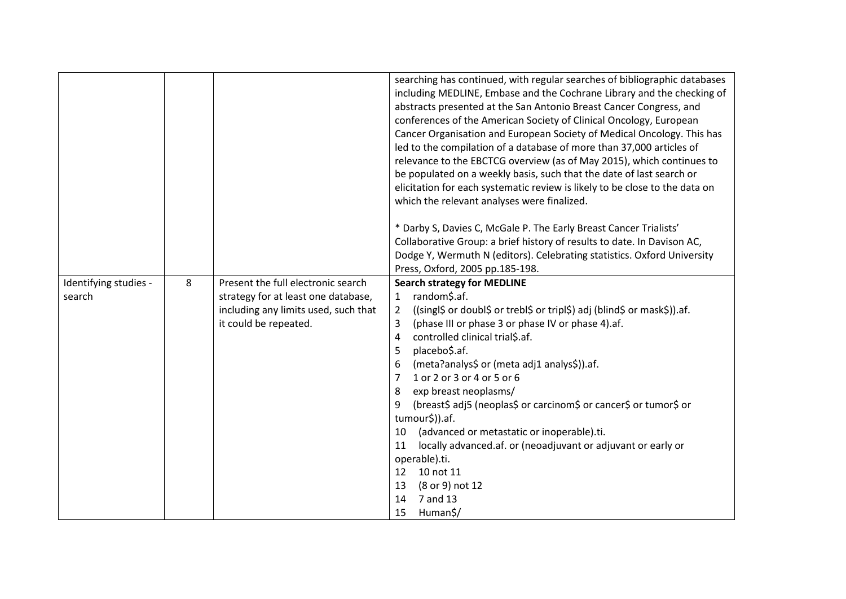|                                 |   |                                      | searching has continued, with regular searches of bibliographic databases<br>including MEDLINE, Embase and the Cochrane Library and the checking of<br>abstracts presented at the San Antonio Breast Cancer Congress, and<br>conferences of the American Society of Clinical Oncology, European<br>Cancer Organisation and European Society of Medical Oncology. This has<br>led to the compilation of a database of more than 37,000 articles of<br>relevance to the EBCTCG overview (as of May 2015), which continues to<br>be populated on a weekly basis, such that the date of last search or<br>elicitation for each systematic review is likely to be close to the data on<br>which the relevant analyses were finalized. |
|---------------------------------|---|--------------------------------------|----------------------------------------------------------------------------------------------------------------------------------------------------------------------------------------------------------------------------------------------------------------------------------------------------------------------------------------------------------------------------------------------------------------------------------------------------------------------------------------------------------------------------------------------------------------------------------------------------------------------------------------------------------------------------------------------------------------------------------|
|                                 |   |                                      | * Darby S, Davies C, McGale P. The Early Breast Cancer Trialists'                                                                                                                                                                                                                                                                                                                                                                                                                                                                                                                                                                                                                                                                |
|                                 |   |                                      | Collaborative Group: a brief history of results to date. In Davison AC,                                                                                                                                                                                                                                                                                                                                                                                                                                                                                                                                                                                                                                                          |
|                                 |   |                                      | Dodge Y, Wermuth N (editors). Celebrating statistics. Oxford University                                                                                                                                                                                                                                                                                                                                                                                                                                                                                                                                                                                                                                                          |
|                                 | 8 | Present the full electronic search   | Press, Oxford, 2005 pp.185-198.<br><b>Search strategy for MEDLINE</b>                                                                                                                                                                                                                                                                                                                                                                                                                                                                                                                                                                                                                                                            |
| Identifying studies -<br>search |   | strategy for at least one database,  | random\$.af.<br>1                                                                                                                                                                                                                                                                                                                                                                                                                                                                                                                                                                                                                                                                                                                |
|                                 |   | including any limits used, such that | ((singl\$ or doubl\$ or trebl\$ or tripl\$) adj (blind\$ or mask\$)).af.<br>2                                                                                                                                                                                                                                                                                                                                                                                                                                                                                                                                                                                                                                                    |
|                                 |   | it could be repeated.                | (phase III or phase 3 or phase IV or phase 4).af.<br>3                                                                                                                                                                                                                                                                                                                                                                                                                                                                                                                                                                                                                                                                           |
|                                 |   |                                      | controlled clinical trial\$.af.<br>4                                                                                                                                                                                                                                                                                                                                                                                                                                                                                                                                                                                                                                                                                             |
|                                 |   |                                      | placebo\$.af.<br>5                                                                                                                                                                                                                                                                                                                                                                                                                                                                                                                                                                                                                                                                                                               |
|                                 |   |                                      | (meta?analys\$ or (meta adj1 analys\$)).af.                                                                                                                                                                                                                                                                                                                                                                                                                                                                                                                                                                                                                                                                                      |
|                                 |   |                                      | 1 or 2 or 3 or 4 or 5 or 6<br>7                                                                                                                                                                                                                                                                                                                                                                                                                                                                                                                                                                                                                                                                                                  |
|                                 |   |                                      | 8<br>exp breast neoplasms/                                                                                                                                                                                                                                                                                                                                                                                                                                                                                                                                                                                                                                                                                                       |
|                                 |   |                                      | (breast\$ adj5 (neoplas\$ or carcinom\$ or cancer\$ or tumor\$ or<br>9                                                                                                                                                                                                                                                                                                                                                                                                                                                                                                                                                                                                                                                           |
|                                 |   |                                      | tumour\$)).af.                                                                                                                                                                                                                                                                                                                                                                                                                                                                                                                                                                                                                                                                                                                   |
|                                 |   |                                      | (advanced or metastatic or inoperable).ti.<br>10                                                                                                                                                                                                                                                                                                                                                                                                                                                                                                                                                                                                                                                                                 |
|                                 |   |                                      | locally advanced.af. or (neoadjuvant or adjuvant or early or<br>11                                                                                                                                                                                                                                                                                                                                                                                                                                                                                                                                                                                                                                                               |
|                                 |   |                                      | operable).ti.                                                                                                                                                                                                                                                                                                                                                                                                                                                                                                                                                                                                                                                                                                                    |
|                                 |   |                                      | 12 <sup>2</sup><br>10 not 11                                                                                                                                                                                                                                                                                                                                                                                                                                                                                                                                                                                                                                                                                                     |
|                                 |   |                                      | (8 or 9) not 12<br>13<br>7 and 13<br>14                                                                                                                                                                                                                                                                                                                                                                                                                                                                                                                                                                                                                                                                                          |
|                                 |   |                                      |                                                                                                                                                                                                                                                                                                                                                                                                                                                                                                                                                                                                                                                                                                                                  |
|                                 |   |                                      | Human\$/<br>15                                                                                                                                                                                                                                                                                                                                                                                                                                                                                                                                                                                                                                                                                                                   |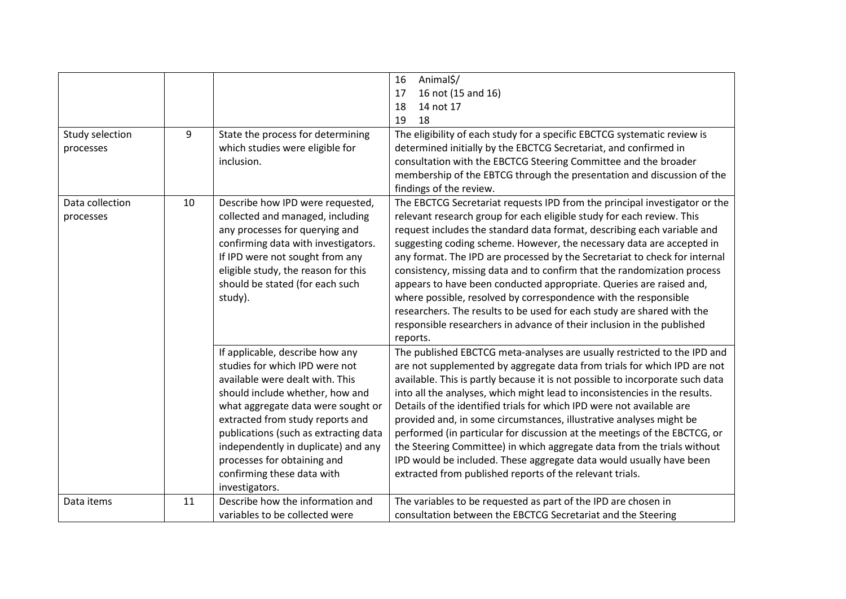|                 |    |                                       | Animal\$/<br>16                                                               |
|-----------------|----|---------------------------------------|-------------------------------------------------------------------------------|
|                 |    |                                       | 16 not (15 and 16)<br>17                                                      |
|                 |    |                                       | 18<br>14 not 17                                                               |
|                 |    |                                       | 19<br>18                                                                      |
| Study selection | 9  | State the process for determining     | The eligibility of each study for a specific EBCTCG systematic review is      |
| processes       |    | which studies were eligible for       | determined initially by the EBCTCG Secretariat, and confirmed in              |
|                 |    | inclusion.                            | consultation with the EBCTCG Steering Committee and the broader               |
|                 |    |                                       | membership of the EBTCG through the presentation and discussion of the        |
|                 |    |                                       | findings of the review.                                                       |
| Data collection | 10 | Describe how IPD were requested,      | The EBCTCG Secretariat requests IPD from the principal investigator or the    |
| processes       |    | collected and managed, including      | relevant research group for each eligible study for each review. This         |
|                 |    | any processes for querying and        | request includes the standard data format, describing each variable and       |
|                 |    | confirming data with investigators.   | suggesting coding scheme. However, the necessary data are accepted in         |
|                 |    | If IPD were not sought from any       | any format. The IPD are processed by the Secretariat to check for internal    |
|                 |    | eligible study, the reason for this   | consistency, missing data and to confirm that the randomization process       |
|                 |    | should be stated (for each such       | appears to have been conducted appropriate. Queries are raised and,           |
|                 |    | study).                               | where possible, resolved by correspondence with the responsible               |
|                 |    |                                       | researchers. The results to be used for each study are shared with the        |
|                 |    |                                       | responsible researchers in advance of their inclusion in the published        |
|                 |    |                                       | reports.                                                                      |
|                 |    | If applicable, describe how any       | The published EBCTCG meta-analyses are usually restricted to the IPD and      |
|                 |    | studies for which IPD were not        | are not supplemented by aggregate data from trials for which IPD are not      |
|                 |    | available were dealt with. This       | available. This is partly because it is not possible to incorporate such data |
|                 |    | should include whether, how and       | into all the analyses, which might lead to inconsistencies in the results.    |
|                 |    | what aggregate data were sought or    | Details of the identified trials for which IPD were not available are         |
|                 |    | extracted from study reports and      | provided and, in some circumstances, illustrative analyses might be           |
|                 |    | publications (such as extracting data | performed (in particular for discussion at the meetings of the EBCTCG, or     |
|                 |    | independently in duplicate) and any   | the Steering Committee) in which aggregate data from the trials without       |
|                 |    | processes for obtaining and           | IPD would be included. These aggregate data would usually have been           |
|                 |    | confirming these data with            | extracted from published reports of the relevant trials.                      |
|                 |    | investigators.                        |                                                                               |
| Data items      | 11 | Describe how the information and      | The variables to be requested as part of the IPD are chosen in                |
|                 |    | variables to be collected were        | consultation between the EBCTCG Secretariat and the Steering                  |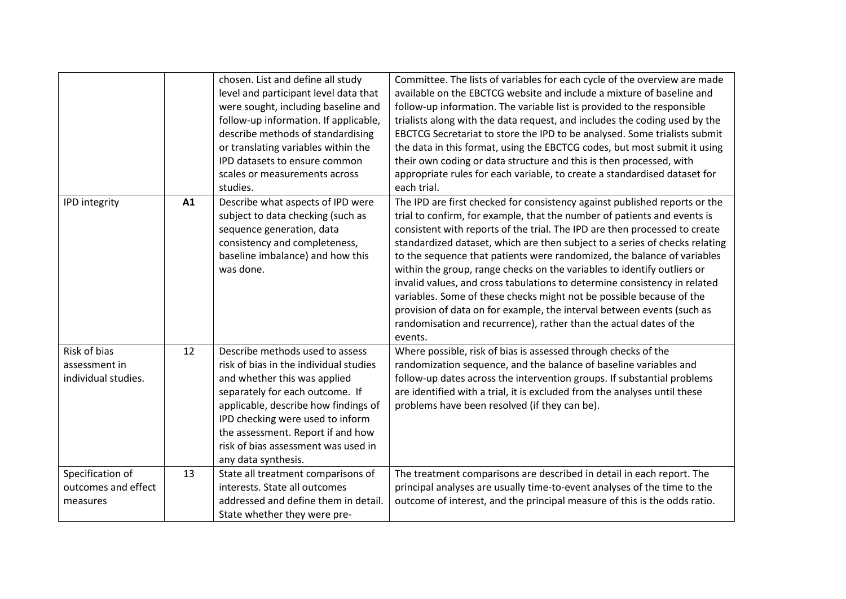|                                                      |    | chosen. List and define all study<br>level and participant level data that<br>were sought, including baseline and<br>follow-up information. If applicable,<br>describe methods of standardising<br>or translating variables within the<br>IPD datasets to ensure common<br>scales or measurements across<br>studies.        | Committee. The lists of variables for each cycle of the overview are made<br>available on the EBCTCG website and include a mixture of baseline and<br>follow-up information. The variable list is provided to the responsible<br>trialists along with the data request, and includes the coding used by the<br>EBCTCG Secretariat to store the IPD to be analysed. Some trialists submit<br>the data in this format, using the EBCTCG codes, but most submit it using<br>their own coding or data structure and this is then processed, with<br>appropriate rules for each variable, to create a standardised dataset for<br>each trial.                                                                                                                                                  |
|------------------------------------------------------|----|-----------------------------------------------------------------------------------------------------------------------------------------------------------------------------------------------------------------------------------------------------------------------------------------------------------------------------|-------------------------------------------------------------------------------------------------------------------------------------------------------------------------------------------------------------------------------------------------------------------------------------------------------------------------------------------------------------------------------------------------------------------------------------------------------------------------------------------------------------------------------------------------------------------------------------------------------------------------------------------------------------------------------------------------------------------------------------------------------------------------------------------|
| <b>IPD</b> integrity                                 | A1 | Describe what aspects of IPD were<br>subject to data checking (such as<br>sequence generation, data<br>consistency and completeness,<br>baseline imbalance) and how this<br>was done.                                                                                                                                       | The IPD are first checked for consistency against published reports or the<br>trial to confirm, for example, that the number of patients and events is<br>consistent with reports of the trial. The IPD are then processed to create<br>standardized dataset, which are then subject to a series of checks relating<br>to the sequence that patients were randomized, the balance of variables<br>within the group, range checks on the variables to identify outliers or<br>invalid values, and cross tabulations to determine consistency in related<br>variables. Some of these checks might not be possible because of the<br>provision of data on for example, the interval between events (such as<br>randomisation and recurrence), rather than the actual dates of the<br>events. |
| Risk of bias<br>assessment in<br>individual studies. | 12 | Describe methods used to assess<br>risk of bias in the individual studies<br>and whether this was applied<br>separately for each outcome. If<br>applicable, describe how findings of<br>IPD checking were used to inform<br>the assessment. Report if and how<br>risk of bias assessment was used in<br>any data synthesis. | Where possible, risk of bias is assessed through checks of the<br>randomization sequence, and the balance of baseline variables and<br>follow-up dates across the intervention groups. If substantial problems<br>are identified with a trial, it is excluded from the analyses until these<br>problems have been resolved (if they can be).                                                                                                                                                                                                                                                                                                                                                                                                                                              |
| Specification of<br>outcomes and effect<br>measures  | 13 | State all treatment comparisons of<br>interests. State all outcomes<br>addressed and define them in detail.<br>State whether they were pre-                                                                                                                                                                                 | The treatment comparisons are described in detail in each report. The<br>principal analyses are usually time-to-event analyses of the time to the<br>outcome of interest, and the principal measure of this is the odds ratio.                                                                                                                                                                                                                                                                                                                                                                                                                                                                                                                                                            |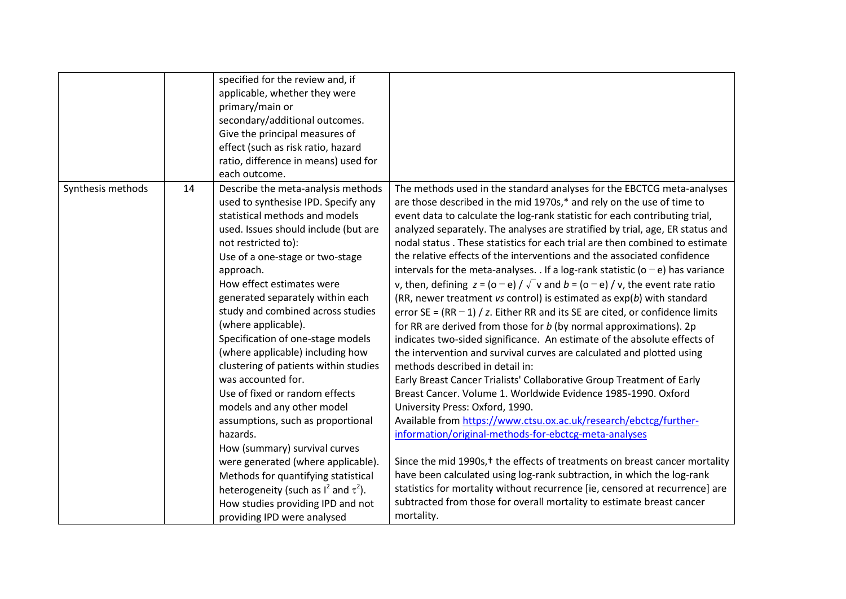|                   |    | specified for the review and, if<br>applicable, whether they were<br>primary/main or<br>secondary/additional outcomes.<br>Give the principal measures of<br>effect (such as risk ratio, hazard<br>ratio, difference in means) used for<br>each outcome.                                                                                                                                                                                                                                                                                                                                                                                                                                                                                                                                                                                            |                                                                                                                                                                                                                                                                                                                                                                                                                                                                                                                                                                                                                                                                                                                                                                                                                                                                                                                                                                                                                                                                                                                                                                                                                                                                                                                                                                                                                                                                                                                                                                                                                                                                                                                                                  |
|-------------------|----|----------------------------------------------------------------------------------------------------------------------------------------------------------------------------------------------------------------------------------------------------------------------------------------------------------------------------------------------------------------------------------------------------------------------------------------------------------------------------------------------------------------------------------------------------------------------------------------------------------------------------------------------------------------------------------------------------------------------------------------------------------------------------------------------------------------------------------------------------|--------------------------------------------------------------------------------------------------------------------------------------------------------------------------------------------------------------------------------------------------------------------------------------------------------------------------------------------------------------------------------------------------------------------------------------------------------------------------------------------------------------------------------------------------------------------------------------------------------------------------------------------------------------------------------------------------------------------------------------------------------------------------------------------------------------------------------------------------------------------------------------------------------------------------------------------------------------------------------------------------------------------------------------------------------------------------------------------------------------------------------------------------------------------------------------------------------------------------------------------------------------------------------------------------------------------------------------------------------------------------------------------------------------------------------------------------------------------------------------------------------------------------------------------------------------------------------------------------------------------------------------------------------------------------------------------------------------------------------------------------|
| Synthesis methods | 14 | Describe the meta-analysis methods<br>used to synthesise IPD. Specify any<br>statistical methods and models<br>used. Issues should include (but are<br>not restricted to):<br>Use of a one-stage or two-stage<br>approach.<br>How effect estimates were<br>generated separately within each<br>study and combined across studies<br>(where applicable).<br>Specification of one-stage models<br>(where applicable) including how<br>clustering of patients within studies<br>was accounted for.<br>Use of fixed or random effects<br>models and any other model<br>assumptions, such as proportional<br>hazards.<br>How (summary) survival curves<br>were generated (where applicable).<br>Methods for quantifying statistical<br>heterogeneity (such as $I^2$ and $\tau^2$ ).<br>How studies providing IPD and not<br>providing IPD were analysed | The methods used in the standard analyses for the EBCTCG meta-analyses<br>are those described in the mid 1970s,* and rely on the use of time to<br>event data to calculate the log-rank statistic for each contributing trial,<br>analyzed separately. The analyses are stratified by trial, age, ER status and<br>nodal status. These statistics for each trial are then combined to estimate<br>the relative effects of the interventions and the associated confidence<br>intervals for the meta-analyses. . If a log-rank statistic ( $o - e$ ) has variance<br>v, then, defining $z = (o - e) / \sqrt{v}$ and $b = (o - e) / v$ , the event rate ratio<br>(RR, newer treatment vs control) is estimated as $exp(b)$ with standard<br>error SE = $(RR - 1) / z$ . Either RR and its SE are cited, or confidence limits<br>for RR are derived from those for $b$ (by normal approximations). 2p<br>indicates two-sided significance. An estimate of the absolute effects of<br>the intervention and survival curves are calculated and plotted using<br>methods described in detail in:<br>Early Breast Cancer Trialists' Collaborative Group Treatment of Early<br>Breast Cancer. Volume 1. Worldwide Evidence 1985-1990. Oxford<br>University Press: Oxford, 1990.<br>Available from https://www.ctsu.ox.ac.uk/research/ebctcg/further-<br>information/original-methods-for-ebctcg-meta-analyses<br>Since the mid 1990s, <sup>†</sup> the effects of treatments on breast cancer mortality<br>have been calculated using log-rank subtraction, in which the log-rank<br>statistics for mortality without recurrence [ie, censored at recurrence] are<br>subtracted from those for overall mortality to estimate breast cancer<br>mortality. |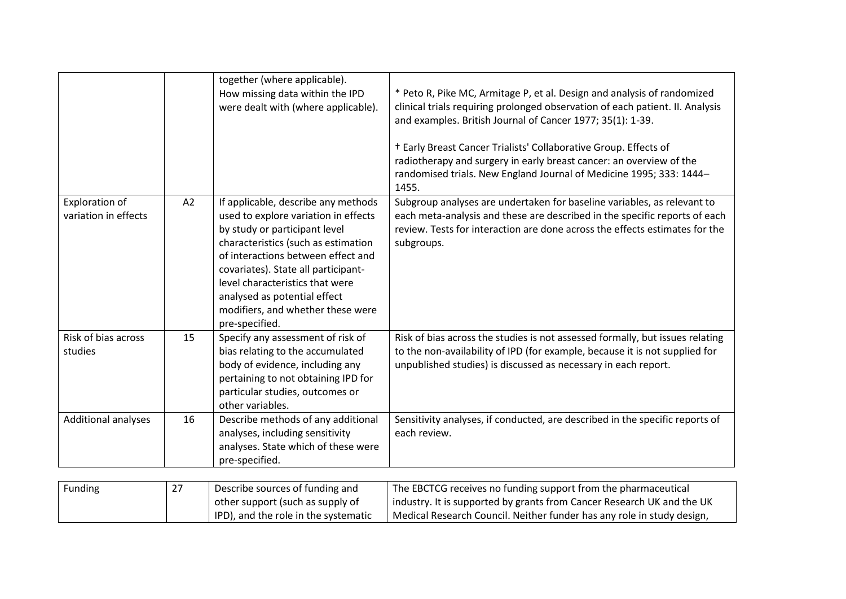|                                               |    | together (where applicable).<br>How missing data within the IPD<br>were dealt with (where applicable).                                                                                                                                                                                                                                                     | * Peto R, Pike MC, Armitage P, et al. Design and analysis of randomized<br>clinical trials requiring prolonged observation of each patient. II. Analysis<br>and examples. British Journal of Cancer 1977; 35(1): 1-39.<br><sup>†</sup> Early Breast Cancer Trialists' Collaborative Group. Effects of<br>radiotherapy and surgery in early breast cancer: an overview of the<br>randomised trials. New England Journal of Medicine 1995; 333: 1444-<br>1455. |
|-----------------------------------------------|----|------------------------------------------------------------------------------------------------------------------------------------------------------------------------------------------------------------------------------------------------------------------------------------------------------------------------------------------------------------|--------------------------------------------------------------------------------------------------------------------------------------------------------------------------------------------------------------------------------------------------------------------------------------------------------------------------------------------------------------------------------------------------------------------------------------------------------------|
| <b>Exploration of</b><br>variation in effects | A2 | If applicable, describe any methods<br>used to explore variation in effects<br>by study or participant level<br>characteristics (such as estimation<br>of interactions between effect and<br>covariates). State all participant-<br>level characteristics that were<br>analysed as potential effect<br>modifiers, and whether these were<br>pre-specified. | Subgroup analyses are undertaken for baseline variables, as relevant to<br>each meta-analysis and these are described in the specific reports of each<br>review. Tests for interaction are done across the effects estimates for the<br>subgroups.                                                                                                                                                                                                           |
| Risk of bias across<br>studies                | 15 | Specify any assessment of risk of<br>bias relating to the accumulated<br>body of evidence, including any<br>pertaining to not obtaining IPD for<br>particular studies, outcomes or<br>other variables.                                                                                                                                                     | Risk of bias across the studies is not assessed formally, but issues relating<br>to the non-availability of IPD (for example, because it is not supplied for<br>unpublished studies) is discussed as necessary in each report.                                                                                                                                                                                                                               |
| Additional analyses                           | 16 | Describe methods of any additional<br>analyses, including sensitivity<br>analyses. State which of these were<br>pre-specified.                                                                                                                                                                                                                             | Sensitivity analyses, if conducted, are described in the specific reports of<br>each review.                                                                                                                                                                                                                                                                                                                                                                 |

| Funding | -27 | Describe sources of funding and      | The EBCTCG receives no funding support from the pharmaceutical         |
|---------|-----|--------------------------------------|------------------------------------------------------------------------|
|         |     | other support (such as supply of     | industry. It is supported by grants from Cancer Research UK and the UK |
|         |     | IPD), and the role in the systematic | Medical Research Council. Neither funder has any role in study design, |